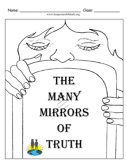

www.keepyourchildsafe.org

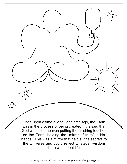Once upon a time a long, long time ago, the Earth was in the process of being created. It is said that God was up in heaven putting the finishing touches on the Earth, holding the "mirror of truth" in his hands. This was a mirror that held all the secrets to the Universe and could reflect whatever wisdom there was about life.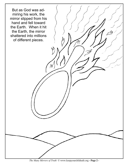

*The Many Mirrors of Truth* © www.keepyourchildsafe.org **- Page 2 -**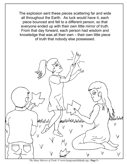The explosion sent these pieces scattering far and wide all throughout the Earth. As luck would have it, each piece bounced and fell to a different person, so that everyone ended up with their own little mirror of truth. From that day forward, each person had wisdom and knowledge that was all their own- their own little piece of truth that nobody else possessed.



*The Many Mirrors of Truth* © www.keepyourchildsafe.org **- Page 3 -**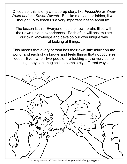Of course, this is only a made-up story, like*Pinocchio* or*Snow White and the Seven Dwarfs*. But like many other fables, it was thought up to teach us a very important lesson about life.

The lesson is this: Everyone has their own brain, filled with their own unique experiences. Each of us will accumulate our own knowledge and develop our own unique way of looking at things.

This means that every person has their own little mirror on the world, and each of us knows and feels things that nobody else does. Even when two people are looking at the very same thing, they can imagine it in completely different ways.



*The Many Mirrors of Truth* © www.keepyourchildsafe.org **- Page 4 -**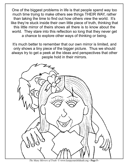One of the biggest problems in life is that people spend way too much time trying to make others see things THEIR WAY, rather than taking the time to find out how others view the world. It's like they're stuck inside their own little piece of truth, thinking that this little mirror of theirs shows all there is to know about the world. They stare into this reflection so long that they never get a chance to explore other ways of thinking or being.

It's much better to remember that our own mirror is limited, and only shows a tiny piece of the bigger picture. Thus we should always try to get a peek at the ideas and perspectives that other people hold in their mirrors.



*The Many Mirrors of Truth* © www.keepyourchildsafe.org **- Page 5 -**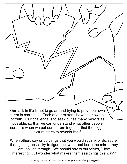Our task in life is not to go around trying to prove our own mirror is correct . . . Each of our mirrorsl have their own bit of truth. Our challenge is to seek out as many mirrors as possible, so that we can understand what other people see. It's when we put our mirrors together that the bigger picture starts to reveals itself.

When others say or do things that you wouldn't think or do, rather than getting upset, try to figure out what resides in the mirror they are looking through. We should say to ourselves, "How interesting . . . I wonder what makes them see things this way?"